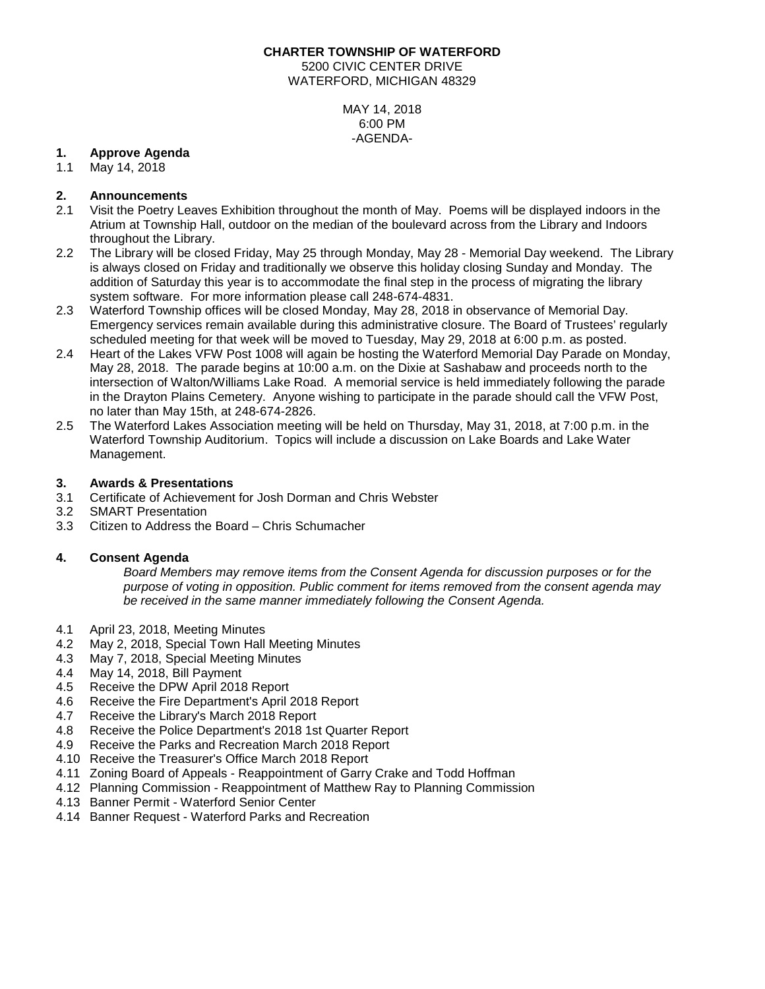#### **CHARTER TOWNSHIP OF WATERFORD**

5200 CIVIC CENTER DRIVE WATERFORD, MICHIGAN 48329

> MAY 14, 2018 6:00 PM -AGENDA-

### **1. Approve Agenda**

May 14, 2018

# **2. Announcements**

- 2.1 Visit the Poetry Leaves Exhibition throughout the month of May. Poems will be displayed indoors in the Atrium at Township Hall, outdoor on the median of the boulevard across from the Library and Indoors throughout the Library.
- 2.2 The Library will be closed Friday, May 25 through Monday, May 28 Memorial Day weekend. The Library is always closed on Friday and traditionally we observe this holiday closing Sunday and Monday. The addition of Saturday this year is to accommodate the final step in the process of migrating the library system software. For more information please call 248-674-4831.
- 2.3 Waterford Township offices will be closed Monday, May 28, 2018 in observance of Memorial Day. Emergency services remain available during this administrative closure. The Board of Trustees' regularly scheduled meeting for that week will be moved to Tuesday, May 29, 2018 at 6:00 p.m. as posted.
- 2.4 Heart of the Lakes VFW Post 1008 will again be hosting the Waterford Memorial Day Parade on Monday, May 28, 2018. The parade begins at 10:00 a.m. on the Dixie at Sashabaw and proceeds north to the intersection of Walton/Williams Lake Road. A memorial service is held immediately following the parade in the Drayton Plains Cemetery. Anyone wishing to participate in the parade should call the VFW Post, no later than May 15th, at 248-674-2826.
- 2.5 The Waterford Lakes Association meeting will be held on Thursday, May 31, 2018, at 7:00 p.m. in the Waterford Township Auditorium. Topics will include a discussion on Lake Boards and Lake Water Management.

### **3. Awards & Presentations**

- 3.1 Certificate of Achievement for Josh Dorman and Chris Webster
- 3.2 SMART Presentation
- 3.3 Citizen to Address the Board Chris Schumacher

### **4. Consent Agenda**

*Board Members may remove items from the Consent Agenda for discussion purposes or for the purpose of voting in opposition. Public comment for items removed from the consent agenda may be received in the same manner immediately following the Consent Agenda.*

- 4.1 April 23, 2018, Meeting Minutes
- 4.2 May 2, 2018, Special Town Hall Meeting Minutes
- 4.3 May 7, 2018, Special Meeting Minutes
- 4.4 May 14, 2018, Bill Payment
- 4.5 Receive the DPW April 2018 Report
- 4.6 Receive the Fire Department's April 2018 Report 4.7 Receive the Library's March 2018 Report
- 4.7 Receive the Library's March 2018 Report<br>4.8 Receive the Police Department's 2018 1st
- 4.8 Receive the Police Department's 2018 1st Quarter Report
- 4.9 Receive the Parks and Recreation March 2018 Report
- 4.10 Receive the Treasurer's Office March 2018 Report
- 4.11 Zoning Board of Appeals Reappointment of Garry Crake and Todd Hoffman
- 4.12 Planning Commission Reappointment of Matthew Ray to Planning Commission
- 4.13 Banner Permit Waterford Senior Center
- 4.14 Banner Request Waterford Parks and Recreation